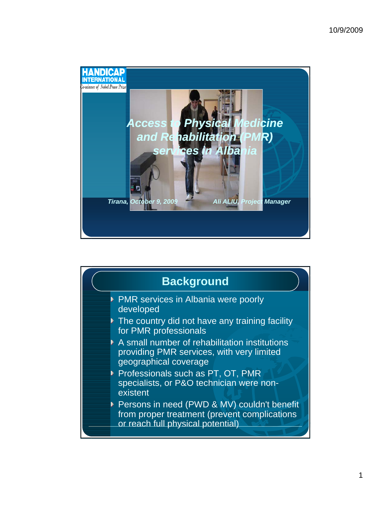

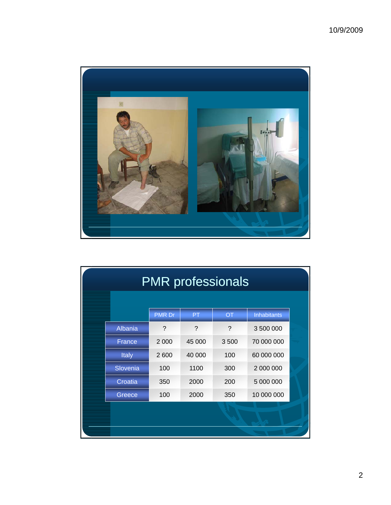

| <b>PMR</b> professionals |              |               |                |           |                    |  |
|--------------------------|--------------|---------------|----------------|-----------|--------------------|--|
|                          |              |               |                |           |                    |  |
|                          |              | <b>PMR Dr</b> | PT             | <b>OT</b> | <b>Inhabitants</b> |  |
|                          | Albania      | ?             | $\overline{?}$ | ?         | 3 500 000          |  |
|                          | France       | 2 0 0 0       | 45 000         | 3500      | 70 000 000         |  |
|                          | <b>Italy</b> | 2600          | 40 000         | 100       | 60 000 000         |  |
|                          | Slovenia     | 100           | 1100           | 300       | 2 000 000          |  |
|                          | Croatia      | 350           | 2000           | 200       | 5 000 000          |  |
|                          | Greece       | 100           | 2000           | 350       | 10 000 000         |  |
|                          |              |               |                |           |                    |  |
|                          |              |               |                |           |                    |  |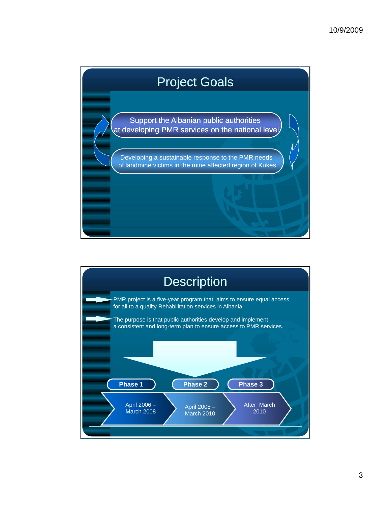

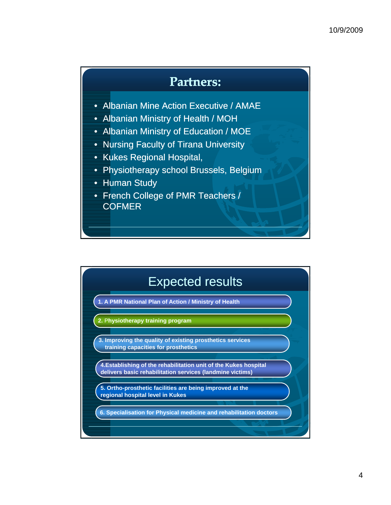#### **Partners:**

- Albanian Mine Action Executive / AMAE
- Albanian Ministry of Health / MOH
- Albanian Ministry of Education / MOE
- Nursing Faculty of Tirana University
- Kukes Regional Hospital,
- Physiotherapy school Brussels, Belgium
- Human Study
- French College of PMR Teachers / **COFMER**

## Expected results

**1. A PMR National Plan of Action / Ministry of Health**

**2. Physiotherapy training program** 

**3. Improving the quality of existing prosthetics services training capacities for prosthetics**

**4.Establishing of the rehabilitation unit of the Kukes hospital delivers basic rehabilitation services (landmine victims)**

**5. Ortho-prosthetic facilities are being improved at the regional hospital level in Kukes**

**6. Specialisation for Physical medicine and rehabilitation doctors**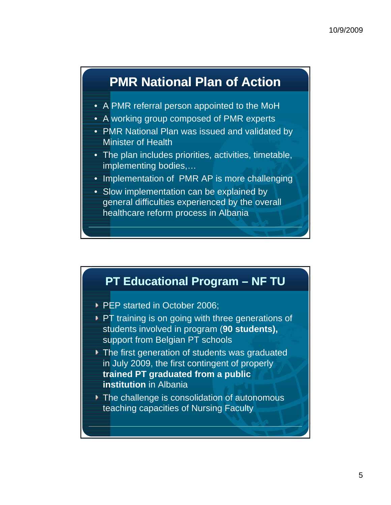

- A PMR referral person appointed to the MoH
- A working group composed of PMR experts
- PMR National Plan was issued and validated by Minister of Health
- The plan includes priorities, activities, timetable, implementing bodies,…
- Implementation of PMR AP is more challenging
- Slow implementation can be explained by general difficulties experienced by the overall healthcare reform process in Albania



- PEP started in October 2006;
- $\blacktriangleright$  PT training is on going with three generations of students involved in program (**90 students),** support from Belgian PT schools
- **The first generation of students was graduated** in July 2009, the first contingent of properly **trained PT graduated from a public institution** in Albania
- **The challenge is consolidation of autonomous** teaching capacities of Nursing Faculty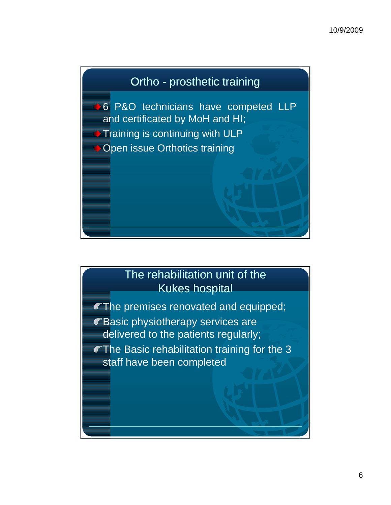### Ortho - prosthetic training

6 P&O technicians have competed LLP and certificated by MoH and HI; **Training is continuing with ULP C** Open issue Orthotics training

## The rehabilitation unit of the Kukes hospital

**The premises renovated and equipped;** 

- **Basic physiotherapy services are**
- delivered to the patients regularly;
- The Basic rehabilitation training for the 3 staff have been completed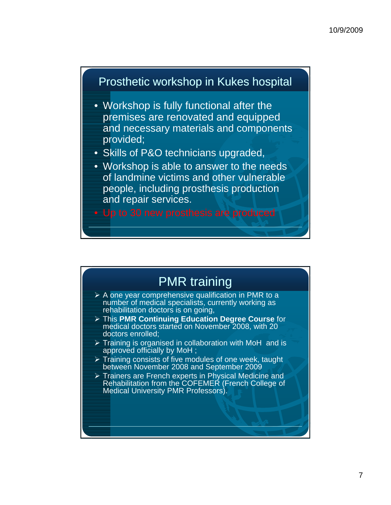

- Workshop is fully functional after the premises are renovated and equipped and necessary materials and components provided;
- Skills of P&O technicians upgraded,
- Workshop is able to answer to the needs of landmine victims and other vulnerable people, including prosthesis production and repair services.

**Up to 30 new prosthesis are produced** 

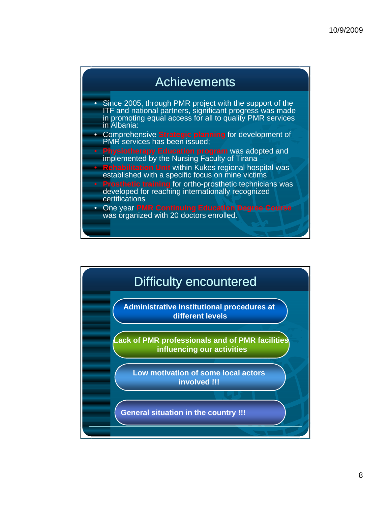

- Since 2005, through PMR project with the support of the ITF and national partners, significant progress was made in promoting equal access for all to quality PMR services in Albania:
- Comprehensive **Strategic planning** for development of PMR services has been issued;
- **Enysiotherapy Education program** was adopted and implemented by the Nursing Faculty of Tirana
- **Rehabilitation Unit** within Kukes regional hospital was established with a specific focus on mine victims
- **Prosthetic training** for ortho-prosthetic technicians was developed for reaching internationally recognized certifications
	- One year **PMR Continuing Education Degree Course** was organized with 20 doctors enrolled.

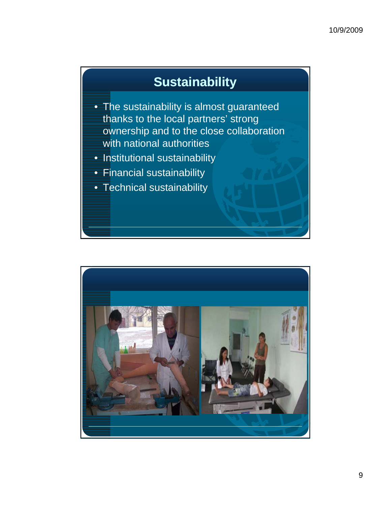# **Sustainability**

- The sustainability is almost guaranteed thanks to the local partners' strong ownership and to the close collaboration with national authorities
- Institutional sustainability
- Financial sustainability
- Technical sustainability

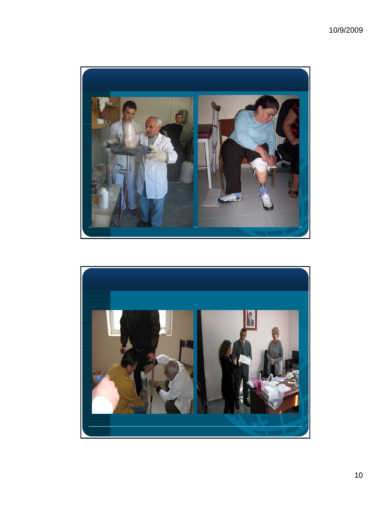

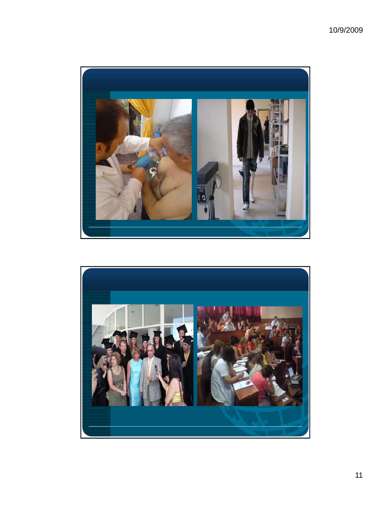